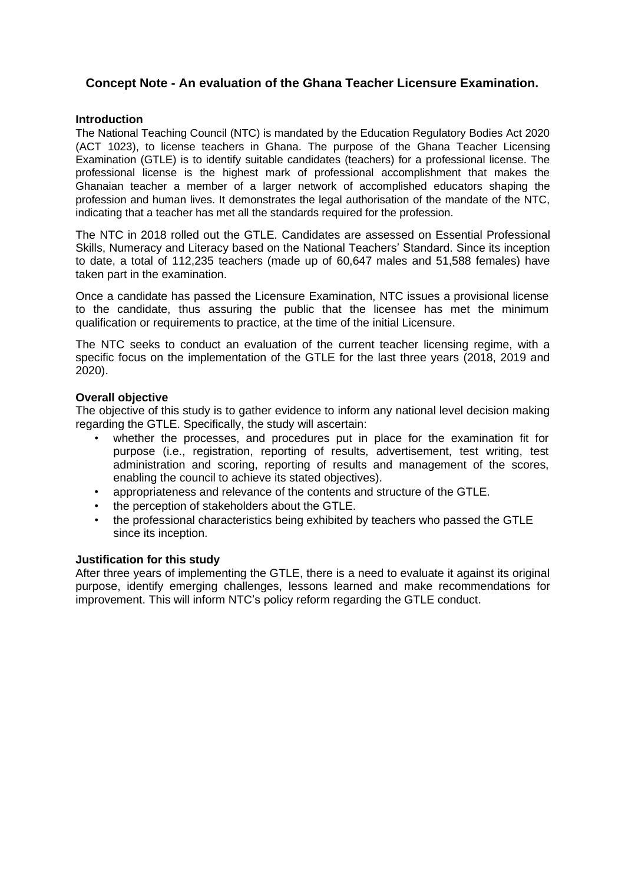## **Concept Note - An evaluation of the Ghana Teacher Licensure Examination.**

#### **Introduction**

The National Teaching Council (NTC) is mandated by the Education Regulatory Bodies Act 2020 (ACT 1023), to license teachers in Ghana. The purpose of the Ghana Teacher Licensing Examination (GTLE) is to identify suitable candidates (teachers) for a professional license. The professional license is the highest mark of professional accomplishment that makes the Ghanaian teacher a member of a larger network of accomplished educators shaping the profession and human lives. It demonstrates the legal authorisation of the mandate of the NTC, indicating that a teacher has met all the standards required for the profession.

The NTC in 2018 rolled out the GTLE. Candidates are assessed on Essential Professional Skills, Numeracy and Literacy based on the National Teachers' Standard. Since its inception to date, a total of 112,235 teachers (made up of 60,647 males and 51,588 females) have taken part in the examination.

Once a candidate has passed the Licensure Examination, NTC issues a provisional license to the candidate, thus assuring the public that the licensee has met the minimum qualification or requirements to practice, at the time of the initial Licensure.

The NTC seeks to conduct an evaluation of the current teacher licensing regime, with a specific focus on the implementation of the GTLE for the last three years (2018, 2019 and 2020).

#### **Overall objective**

The objective of this study is to gather evidence to inform any national level decision making regarding the GTLE. Specifically, the study will ascertain:

- whether the processes, and procedures put in place for the examination fit for purpose (i.e., registration, reporting of results, advertisement, test writing, test administration and scoring, reporting of results and management of the scores, enabling the council to achieve its stated objectives).
- appropriateness and relevance of the contents and structure of the GTLE.
- the perception of stakeholders about the GTLE.
- the professional characteristics being exhibited by teachers who passed the GTLE since its inception.

#### **Justification for this study**

After three years of implementing the GTLE, there is a need to evaluate it against its original purpose, identify emerging challenges, lessons learned and make recommendations for improvement. This will inform NTC's policy reform regarding the GTLE conduct.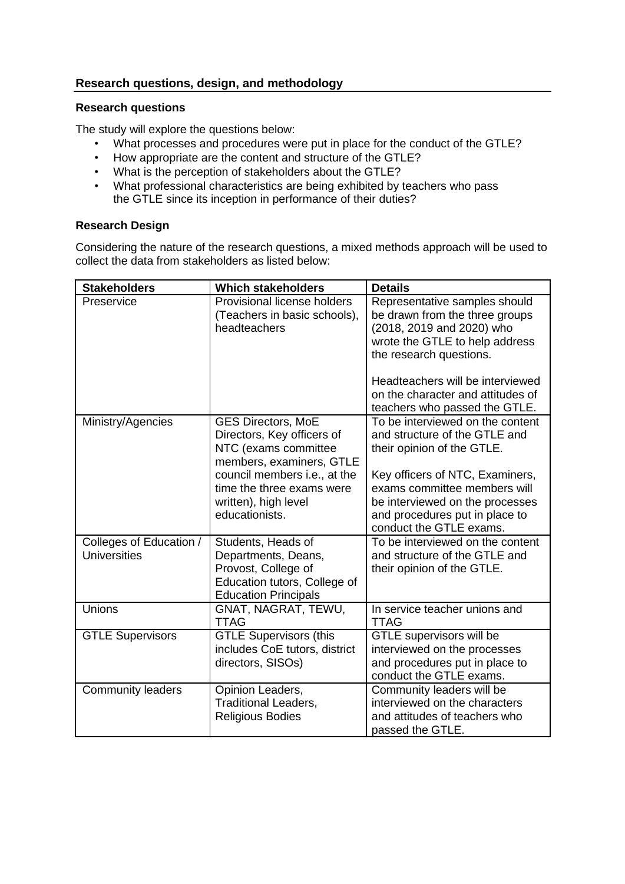## **Research questions, design, and methodology**

### **Research questions**

The study will explore the questions below:

- What processes and procedures were put in place for the conduct of the GTLE?
- How appropriate are the content and structure of the GTLE?
- What is the perception of stakeholders about the GTLE?
- What professional characteristics are being exhibited by teachers who pass the GTLE since its inception in performance of their duties?

### **Research Design**

Considering the nature of the research questions, a mixed methods approach will be used to collect the data from stakeholders as listed below:

| <b>Stakeholders</b>                            | <b>Which stakeholders</b>                                                                                                                                                                                          | <b>Details</b>                                                                                                                                                                                                                                                      |
|------------------------------------------------|--------------------------------------------------------------------------------------------------------------------------------------------------------------------------------------------------------------------|---------------------------------------------------------------------------------------------------------------------------------------------------------------------------------------------------------------------------------------------------------------------|
| Preservice                                     | Provisional license holders<br>(Teachers in basic schools),<br>headteachers                                                                                                                                        | Representative samples should<br>be drawn from the three groups<br>(2018, 2019 and 2020) who<br>wrote the GTLE to help address<br>the research questions.<br>Headteachers will be interviewed<br>on the character and attitudes of<br>teachers who passed the GTLE. |
| Ministry/Agencies                              | <b>GES Directors, MoE</b><br>Directors, Key officers of<br>NTC (exams committee<br>members, examiners, GTLE<br>council members i.e., at the<br>time the three exams were<br>written), high level<br>educationists. | To be interviewed on the content<br>and structure of the GTLE and<br>their opinion of the GTLE.<br>Key officers of NTC, Examiners,<br>exams committee members will<br>be interviewed on the processes<br>and procedures put in place to<br>conduct the GTLE exams.  |
| Colleges of Education /<br><b>Universities</b> | Students, Heads of<br>Departments, Deans,<br>Provost, College of<br>Education tutors, College of<br><b>Education Principals</b>                                                                                    | To be interviewed on the content<br>and structure of the GTLE and<br>their opinion of the GTLE.                                                                                                                                                                     |
| <b>Unions</b>                                  | GNAT, NAGRAT, TEWU,<br><b>TTAG</b>                                                                                                                                                                                 | In service teacher unions and<br><b>TTAG</b>                                                                                                                                                                                                                        |
| <b>GTLE Supervisors</b>                        | <b>GTLE Supervisors (this</b><br>includes CoE tutors, district<br>directors, SISOs)                                                                                                                                | GTLE supervisors will be<br>interviewed on the processes<br>and procedures put in place to<br>conduct the GTLE exams.                                                                                                                                               |
| <b>Community leaders</b>                       | Opinion Leaders,<br><b>Traditional Leaders,</b><br><b>Religious Bodies</b>                                                                                                                                         | Community leaders will be<br>interviewed on the characters<br>and attitudes of teachers who<br>passed the GTLE.                                                                                                                                                     |